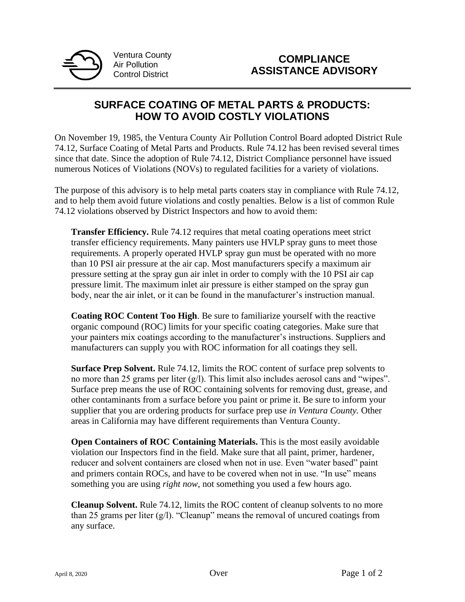

Ventura County Air Pollution Control District

## **SURFACE COATING OF METAL PARTS & PRODUCTS: HOW TO AVOID COSTLY VIOLATIONS**

On November 19, 1985, the Ventura County Air Pollution Control Board adopted District Rule 74.12, Surface Coating of Metal Parts and Products. Rule 74.12 has been revised several times since that date. Since the adoption of Rule 74.12, District Compliance personnel have issued numerous Notices of Violations (NOVs) to regulated facilities for a variety of violations.

The purpose of this advisory is to help metal parts coaters stay in compliance with Rule 74.12, and to help them avoid future violations and costly penalties. Below is a list of common Rule 74.12 violations observed by District Inspectors and how to avoid them:

**Transfer Efficiency.** Rule 74.12 requires that metal coating operations meet strict transfer efficiency requirements. Many painters use HVLP spray guns to meet those requirements. A properly operated HVLP spray gun must be operated with no more than 10 PSI air pressure at the air cap. Most manufacturers specify a maximum air pressure setting at the spray gun air inlet in order to comply with the 10 PSI air cap pressure limit. The maximum inlet air pressure is either stamped on the spray gun body, near the air inlet, or it can be found in the manufacturer's instruction manual.

**Coating ROC Content Too High**. Be sure to familiarize yourself with the reactive organic compound (ROC) limits for your specific coating categories. Make sure that your painters mix coatings according to the manufacturer's instructions. Suppliers and manufacturers can supply you with ROC information for all coatings they sell.

**Surface Prep Solvent.** Rule 74.12, limits the ROC content of surface prep solvents to no more than 25 grams per liter (g/l). This limit also includes aerosol cans and "wipes". Surface prep means the use of ROC containing solvents for removing dust, grease, and other contaminants from a surface before you paint or prime it. Be sure to inform your supplier that you are ordering products for surface prep use *in Ventura County.* Other areas in California may have different requirements than Ventura County.

**Open Containers of ROC Containing Materials.** This is the most easily avoidable violation our Inspectors find in the field. Make sure that all paint, primer, hardener, reducer and solvent containers are closed when not in use. Even "water based" paint and primers contain ROCs, and have to be covered when not in use. "In use" means something you are using *right now*, not something you used a few hours ago.

**Cleanup Solvent.** Rule 74.12, limits the ROC content of cleanup solvents to no more than 25 grams per liter  $(g/l)$ . "Cleanup" means the removal of uncured coatings from any surface.